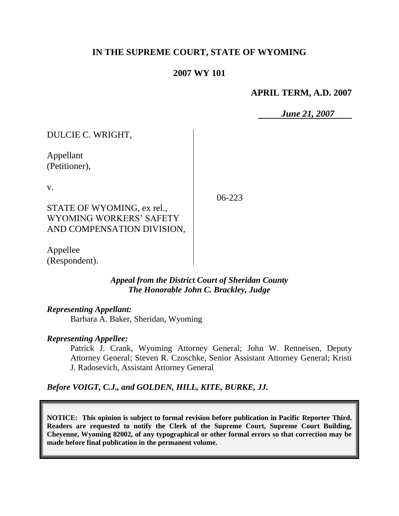# **IN THE SUPREME COURT, STATE OF WYOMING**

### **2007 WY 101**

#### **APRIL TERM, A.D. 2007**

*June 21, 2007*

DULCIE C. WRIGHT,

Appellant (Petitioner),

v.

06-223

STATE OF WYOMING, ex rel., WYOMING WORKERS' SAFETY AND COMPENSATION DIVISION,

Appellee (Respondent).

> *Appeal from the District Court of Sheridan County The Honorable John C. Brackley, Judge*

#### *Representing Appellant:*

Barbara A. Baker, Sheridan, Wyoming

#### *Representing Appellee:*

Patrick J. Crank, Wyoming Attorney General; John W. Renneisen, Deputy Attorney General; Steven R. Czoschke, Senior Assistant Attorney General; Kristi J. Radosevich, Assistant Attorney General

*Before VOIGT, C.J., and GOLDEN, HILL, KITE, BURKE, JJ.*

**NOTICE: This opinion is subject to formal revision before publication in Pacific Reporter Third. Readers are requested to notify the Clerk of the Supreme Court, Supreme Court Building, Cheyenne, Wyoming 82002, of any typographical or other formal errors so that correction may be made before final publication in the permanent volume.**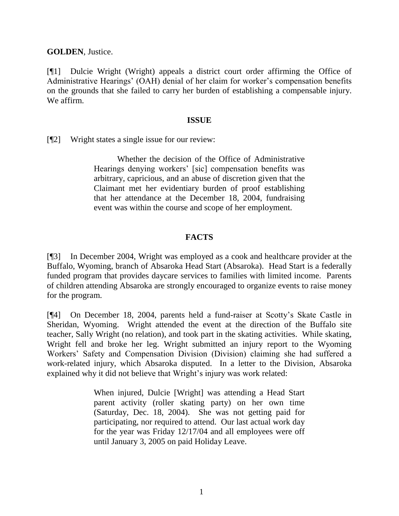**GOLDEN**, Justice.

[¶1] Dulcie Wright (Wright) appeals a district court order affirming the Office of Administrative Hearings' (OAH) denial of her claim for worker's compensation benefits on the grounds that she failed to carry her burden of establishing a compensable injury. We affirm.

#### **ISSUE**

[¶2] Wright states a single issue for our review:

Whether the decision of the Office of Administrative Hearings denying workers' [sic] compensation benefits was arbitrary, capricious, and an abuse of discretion given that the Claimant met her evidentiary burden of proof establishing that her attendance at the December 18, 2004, fundraising event was within the course and scope of her employment.

## **FACTS**

[¶3] In December 2004, Wright was employed as a cook and healthcare provider at the Buffalo, Wyoming, branch of Absaroka Head Start (Absaroka). Head Start is a federally funded program that provides daycare services to families with limited income. Parents of children attending Absaroka are strongly encouraged to organize events to raise money for the program.

[¶4] On December 18, 2004, parents held a fund-raiser at Scotty's Skate Castle in Sheridan, Wyoming. Wright attended the event at the direction of the Buffalo site teacher, Sally Wright (no relation), and took part in the skating activities. While skating, Wright fell and broke her leg. Wright submitted an injury report to the Wyoming Workers' Safety and Compensation Division (Division) claiming she had suffered a work-related injury, which Absaroka disputed. In a letter to the Division, Absaroka explained why it did not believe that Wright's injury was work related:

> When injured, Dulcie [Wright] was attending a Head Start parent activity (roller skating party) on her own time (Saturday, Dec. 18, 2004). She was not getting paid for participating, nor required to attend. Our last actual work day for the year was Friday 12/17/04 and all employees were off until January 3, 2005 on paid Holiday Leave.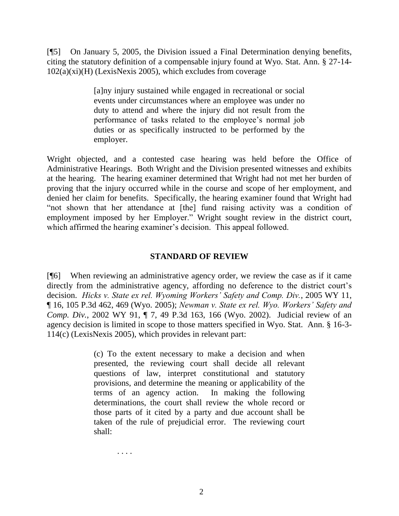[¶5] On January 5, 2005, the Division issued a Final Determination denying benefits, citing the statutory definition of a compensable injury found at Wyo. Stat. Ann. § 27-14-  $102(a)(xi)(H)$  (LexisNexis 2005), which excludes from coverage

> [a]ny injury sustained while engaged in recreational or social events under circumstances where an employee was under no duty to attend and where the injury did not result from the performance of tasks related to the employee's normal job duties or as specifically instructed to be performed by the employer.

Wright objected, and a contested case hearing was held before the Office of Administrative Hearings. Both Wright and the Division presented witnesses and exhibits at the hearing. The hearing examiner determined that Wright had not met her burden of proving that the injury occurred while in the course and scope of her employment, and denied her claim for benefits. Specifically, the hearing examiner found that Wright had "not shown that her attendance at [the] fund raising activity was a condition of employment imposed by her Employer." Wright sought review in the district court, which affirmed the hearing examiner's decision. This appeal followed.

### **STANDARD OF REVIEW**

[¶6] When reviewing an administrative agency order, we review the case as if it came directly from the administrative agency, affording no deference to the district court's decision. *Hicks v. State ex rel. Wyoming Workers' Safety and Comp. Div.*, 2005 WY 11, ¶ 16, 105 P.3d 462, 469 (Wyo. 2005); *Newman v. State ex rel. Wyo. Workers' Safety and Comp. Div.*, 2002 WY 91, ¶ 7, 49 P.3d 163, 166 (Wyo. 2002). Judicial review of an agency decision is limited in scope to those matters specified in Wyo. Stat. Ann. § 16-3- 114(c) (LexisNexis 2005), which provides in relevant part:

> (c) To the extent necessary to make a decision and when presented, the reviewing court shall decide all relevant questions of law, interpret constitutional and statutory provisions, and determine the meaning or applicability of the terms of an agency action. In making the following determinations, the court shall review the whole record or those parts of it cited by a party and due account shall be taken of the rule of prejudicial error. The reviewing court shall:

> > . . . .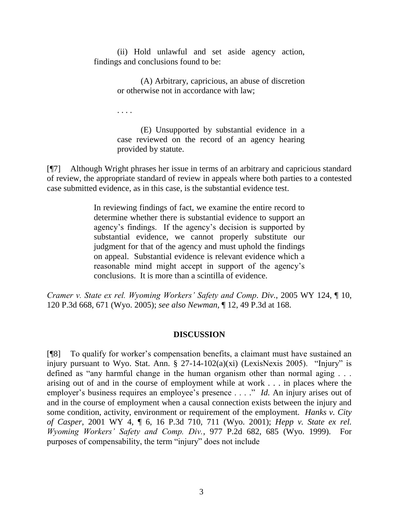(ii) Hold unlawful and set aside agency action, findings and conclusions found to be:

> (A) Arbitrary, capricious, an abuse of discretion or otherwise not in accordance with law;

. . . .

(E) Unsupported by substantial evidence in a case reviewed on the record of an agency hearing provided by statute.

[¶7] Although Wright phrases her issue in terms of an arbitrary and capricious standard of review, the appropriate standard of review in appeals where both parties to a contested case submitted evidence, as in this case, is the substantial evidence test.

> In reviewing findings of fact, we examine the entire record to determine whether there is substantial evidence to support an agency's findings. If the agency's decision is supported by substantial evidence, we cannot properly substitute our judgment for that of the agency and must uphold the findings on appeal. Substantial evidence is relevant evidence which a reasonable mind might accept in support of the agency's conclusions. It is more than a scintilla of evidence.

*Cramer v. State ex rel. Wyoming Workers' Safety and Comp. Div.*, 2005 WY 124, ¶ 10, 120 P.3d 668, 671 (Wyo. 2005); *see also Newman*, ¶ 12, 49 P.3d at 168.

## **DISCUSSION**

[¶8] To qualify for worker's compensation benefits, a claimant must have sustained an injury pursuant to Wyo. Stat. Ann. § 27-14-102(a)(xi) (LexisNexis 2005). "Injury" is defined as "any harmful change in the human organism other than normal aging . . . arising out of and in the course of employment while at work . . . in places where the employer's business requires an employee's presence . . . ." *Id.* An injury arises out of and in the course of employment when a causal connection exists between the injury and some condition, activity, environment or requirement of the employment. *Hanks v. City of Casper*, 2001 WY 4, ¶ 6, 16 P.3d 710, 711 (Wyo. 2001); *Hepp v. State ex rel. Wyoming Workers' Safety and Comp. Div.*, 977 P.2d 682, 685 (Wyo. 1999). For purposes of compensability, the term "injury" does not include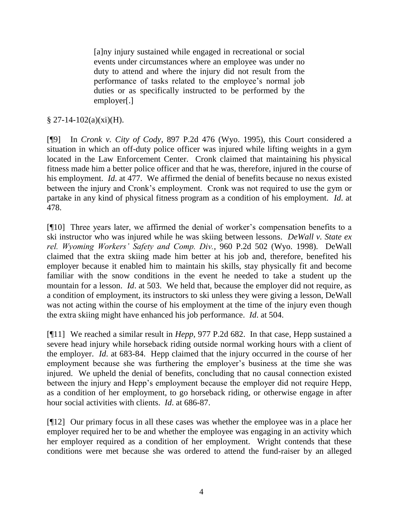[a]ny injury sustained while engaged in recreational or social events under circumstances where an employee was under no duty to attend and where the injury did not result from the performance of tasks related to the employee's normal job duties or as specifically instructed to be performed by the employer[.]

## $\S 27-14-102(a)(xi)(H)$ .

[¶9] In *Cronk v. City of Cody*, 897 P.2d 476 (Wyo. 1995), this Court considered a situation in which an off-duty police officer was injured while lifting weights in a gym located in the Law Enforcement Center. Cronk claimed that maintaining his physical fitness made him a better police officer and that he was, therefore, injured in the course of his employment. *Id*. at 477. We affirmed the denial of benefits because no nexus existed between the injury and Cronk's employment. Cronk was not required to use the gym or partake in any kind of physical fitness program as a condition of his employment. *Id*. at 478.

[¶10] Three years later, we affirmed the denial of worker's compensation benefits to a ski instructor who was injured while he was skiing between lessons. *DeWall v. State ex rel. Wyoming Workers' Safety and Comp. Div.*, 960 P.2d 502 (Wyo. 1998). DeWall claimed that the extra skiing made him better at his job and, therefore, benefited his employer because it enabled him to maintain his skills, stay physically fit and become familiar with the snow conditions in the event he needed to take a student up the mountain for a lesson. *Id*. at 503. We held that, because the employer did not require, as a condition of employment, its instructors to ski unless they were giving a lesson, DeWall was not acting within the course of his employment at the time of the injury even though the extra skiing might have enhanced his job performance. *Id*. at 504.

[¶11] We reached a similar result in *Hepp*, 977 P.2d 682. In that case, Hepp sustained a severe head injury while horseback riding outside normal working hours with a client of the employer. *Id*. at 683-84. Hepp claimed that the injury occurred in the course of her employment because she was furthering the employer's business at the time she was injured. We upheld the denial of benefits, concluding that no causal connection existed between the injury and Hepp's employment because the employer did not require Hepp, as a condition of her employment, to go horseback riding, or otherwise engage in after hour social activities with clients. *Id*. at 686-87.

[¶12] Our primary focus in all these cases was whether the employee was in a place her employer required her to be and whether the employee was engaging in an activity which her employer required as a condition of her employment. Wright contends that these conditions were met because she was ordered to attend the fund-raiser by an alleged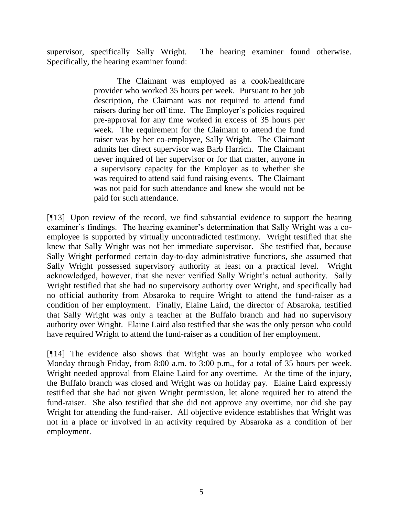supervisor, specifically Sally Wright. The hearing examiner found otherwise. Specifically, the hearing examiner found:

> The Claimant was employed as a cook/healthcare provider who worked 35 hours per week. Pursuant to her job description, the Claimant was not required to attend fund raisers during her off time. The Employer's policies required pre-approval for any time worked in excess of 35 hours per week. The requirement for the Claimant to attend the fund raiser was by her co-employee, Sally Wright. The Claimant admits her direct supervisor was Barb Harrich. The Claimant never inquired of her supervisor or for that matter, anyone in a supervisory capacity for the Employer as to whether she was required to attend said fund raising events. The Claimant was not paid for such attendance and knew she would not be paid for such attendance.

[¶13] Upon review of the record, we find substantial evidence to support the hearing examiner's findings. The hearing examiner's determination that Sally Wright was a coemployee is supported by virtually uncontradicted testimony. Wright testified that she knew that Sally Wright was not her immediate supervisor. She testified that, because Sally Wright performed certain day-to-day administrative functions, she assumed that Sally Wright possessed supervisory authority at least on a practical level. Wright acknowledged, however, that she never verified Sally Wright's actual authority. Sally Wright testified that she had no supervisory authority over Wright, and specifically had no official authority from Absaroka to require Wright to attend the fund-raiser as a condition of her employment. Finally, Elaine Laird, the director of Absaroka, testified that Sally Wright was only a teacher at the Buffalo branch and had no supervisory authority over Wright. Elaine Laird also testified that she was the only person who could have required Wright to attend the fund-raiser as a condition of her employment.

[¶14] The evidence also shows that Wright was an hourly employee who worked Monday through Friday, from 8:00 a.m. to 3:00 p.m., for a total of 35 hours per week. Wright needed approval from Elaine Laird for any overtime. At the time of the injury, the Buffalo branch was closed and Wright was on holiday pay. Elaine Laird expressly testified that she had not given Wright permission, let alone required her to attend the fund-raiser. She also testified that she did not approve any overtime, nor did she pay Wright for attending the fund-raiser. All objective evidence establishes that Wright was not in a place or involved in an activity required by Absaroka as a condition of her employment.